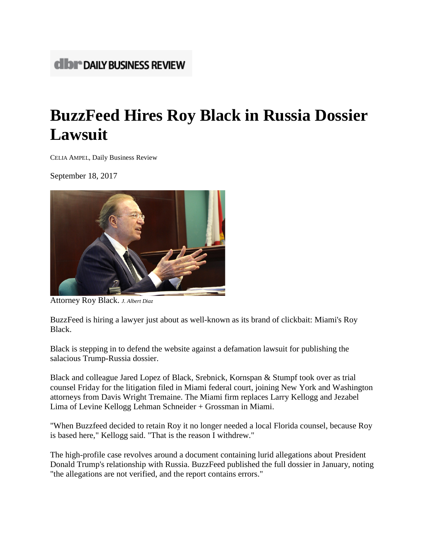## **CIDI<sup>\*</sup> DAILY BUSINESS REVIEW**

## **BuzzFeed Hires Roy Black in Russia Dossier Lawsuit**

CELIA AMPEL, Daily Business Review

September 18, 2017



Attorney Roy Black. *J. Albert Diaz*

BuzzFeed is hiring a lawyer just about as well-known as its brand of clickbait: Miami's Roy Black.

Black is stepping in to defend the website against a defamation lawsuit for publishing the salacious Trump-Russia dossier.

Black and colleague Jared Lopez of Black, Srebnick, Kornspan & Stumpf took over as trial counsel Friday for the litigation filed in Miami federal court, joining New York and Washington attorneys from Davis Wright Tremaine. The Miami firm replaces Larry Kellogg and Jezabel Lima of Levine Kellogg Lehman Schneider + Grossman in Miami.

"When Buzzfeed decided to retain Roy it no longer needed a local Florida counsel, because Roy is based here," Kellogg said. "That is the reason I withdrew."

The high-profile case revolves around a document containing lurid allegations about President Donald Trump's relationship with Russia. BuzzFeed published the full dossier in January, noting "the allegations are not verified, and the report contains errors."